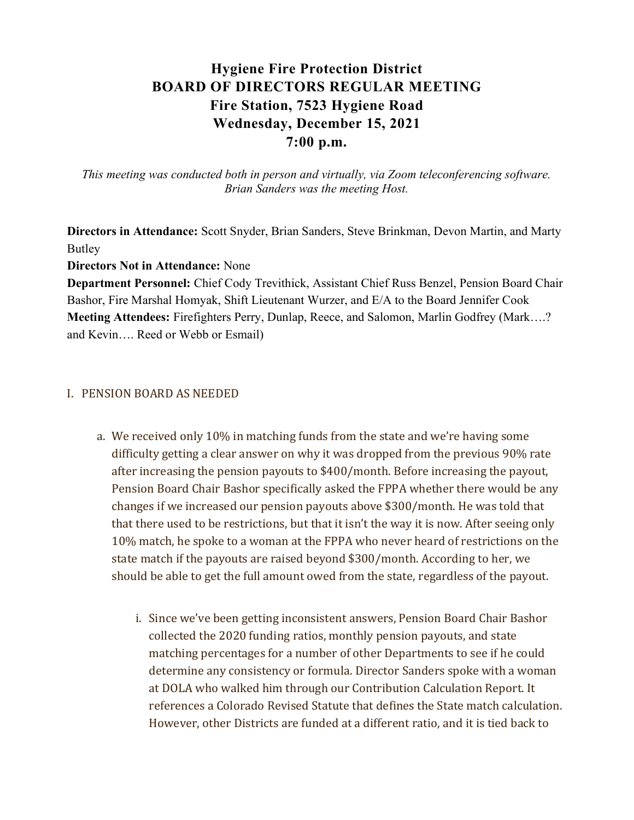# Hygiene Fire Protection District BOARD OF DIRECTORS REGULAR MEETING Fire Station, 7523 Hygiene Road Wednesday, December 15, 2021 7:00 p.m.

This meeting was conducted both in person and virtually, via Zoom teleconferencing software. Brian Sanders was the meeting Host.

Directors in Attendance: Scott Snyder, Brian Sanders, Steve Brinkman, Devon Martin, and Marty Butley

Directors Not in Attendance: None

Department Personnel: Chief Cody Trevithick, Assistant Chief Russ Benzel, Pension Board Chair Bashor, Fire Marshal Homyak, Shift Lieutenant Wurzer, and E/A to the Board Jennifer Cook Meeting Attendees: Firefighters Perry, Dunlap, Reece, and Salomon, Marlin Godfrey (Mark….? and Kevin…. Reed or Webb or Esmail)

#### I. PENSION BOARD AS NEEDED

- a. We received only 10% in matching funds from the state and we're having some difficulty getting a clear answer on why it was dropped from the previous 90% rate after increasing the pension payouts to \$400/month. Before increasing the payout, Pension Board Chair Bashor specifically asked the FPPA whether there would be any changes if we increased our pension payouts above \$300/month. He was told that that there used to be restrictions, but that it isn't the way it is now. After seeing only 10% match, he spoke to a woman at the FPPA who never heard of restrictions on the state match if the payouts are raised beyond \$300/month. According to her, we should be able to get the full amount owed from the state, regardless of the payout.
	- i. Since we've been getting inconsistent answers, Pension Board Chair Bashor collected the 2020 funding ratios, monthly pension payouts, and state matching percentages for a number of other Departments to see if he could determine any consistency or formula. Director Sanders spoke with a woman at DOLA who walked him through our Contribution Calculation Report. It references a Colorado Revised Statute that defines the State match calculation. However, other Districts are funded at a different ratio, and it is tied back to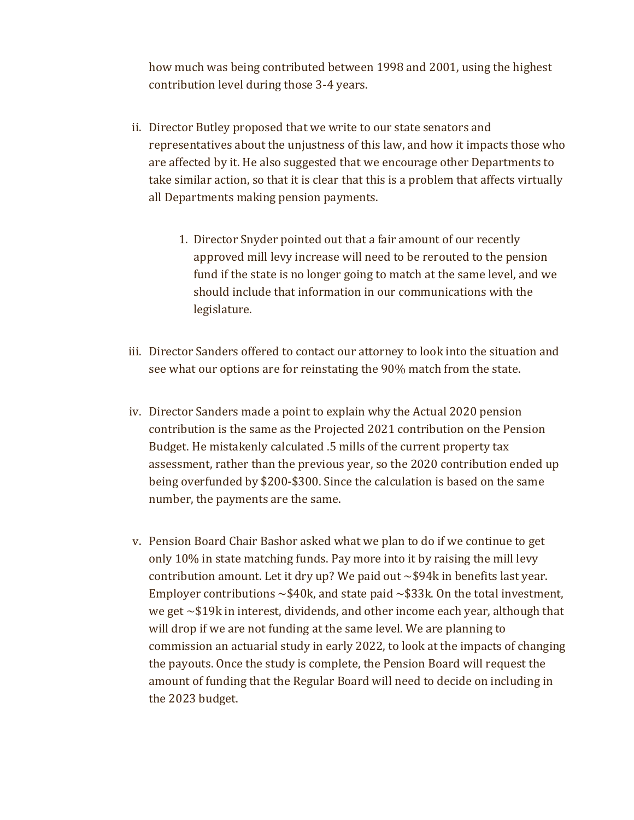how much was being contributed between 1998 and 2001, using the highest contribution level during those 3-4 years.

- ii. Director Butley proposed that we write to our state senators and representatives about the unjustness of this law, and how it impacts those who are affected by it. He also suggested that we encourage other Departments to take similar action, so that it is clear that this is a problem that affects virtually all Departments making pension payments.
	- 1. Director Snyder pointed out that a fair amount of our recently approved mill levy increase will need to be rerouted to the pension fund if the state is no longer going to match at the same level, and we should include that information in our communications with the legislature.
- iii. Director Sanders offered to contact our attorney to look into the situation and see what our options are for reinstating the 90% match from the state.
- iv. Director Sanders made a point to explain why the Actual 2020 pension contribution is the same as the Projected 2021 contribution on the Pension Budget. He mistakenly calculated .5 mills of the current property tax assessment, rather than the previous year, so the 2020 contribution ended up being overfunded by \$200-\$300. Since the calculation is based on the same number, the payments are the same.
- v. Pension Board Chair Bashor asked what we plan to do if we continue to get only 10% in state matching funds. Pay more into it by raising the mill levy contribution amount. Let it dry up? We paid out  $\sim$ \$94k in benefits last year. Employer contributions  $\sim$ \$40k, and state paid  $\sim$ \$33k. On the total investment, we get ~\$19k in interest, dividends, and other income each year, although that will drop if we are not funding at the same level. We are planning to commission an actuarial study in early 2022, to look at the impacts of changing the payouts. Once the study is complete, the Pension Board will request the amount of funding that the Regular Board will need to decide on including in the 2023 budget.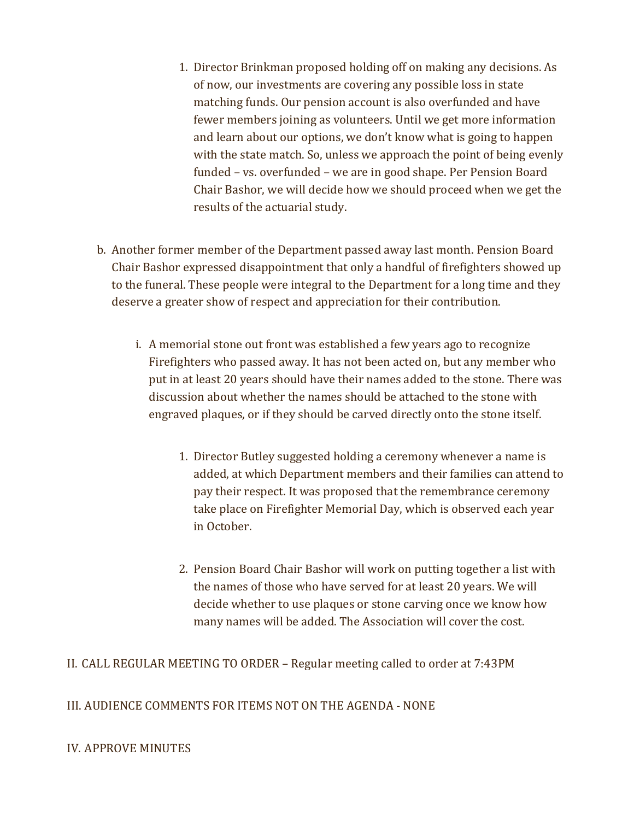- 1. Director Brinkman proposed holding off on making any decisions. As of now, our investments are covering any possible loss in state matching funds. Our pension account is also overfunded and have fewer members joining as volunteers. Until we get more information and learn about our options, we don't know what is going to happen with the state match. So, unless we approach the point of being evenly funded – vs. overfunded – we are in good shape. Per Pension Board Chair Bashor, we will decide how we should proceed when we get the results of the actuarial study.
- b. Another former member of the Department passed away last month. Pension Board Chair Bashor expressed disappointment that only a handful of firefighters showed up to the funeral. These people were integral to the Department for a long time and they deserve a greater show of respect and appreciation for their contribution.
	- i. A memorial stone out front was established a few years ago to recognize Firefighters who passed away. It has not been acted on, but any member who put in at least 20 years should have their names added to the stone. There was discussion about whether the names should be attached to the stone with engraved plaques, or if they should be carved directly onto the stone itself.
		- 1. Director Butley suggested holding a ceremony whenever a name is added, at which Department members and their families can attend to pay their respect. It was proposed that the remembrance ceremony take place on Firefighter Memorial Day, which is observed each year in October.
		- 2. Pension Board Chair Bashor will work on putting together a list with the names of those who have served for at least 20 years. We will decide whether to use plaques or stone carving once we know how many names will be added. The Association will cover the cost.

II. CALL REGULAR MEETING TO ORDER – Regular meeting called to order at 7:43PM

III. AUDIENCE COMMENTS FOR ITEMS NOT ON THE AGENDA - NONE

IV. APPROVE MINUTES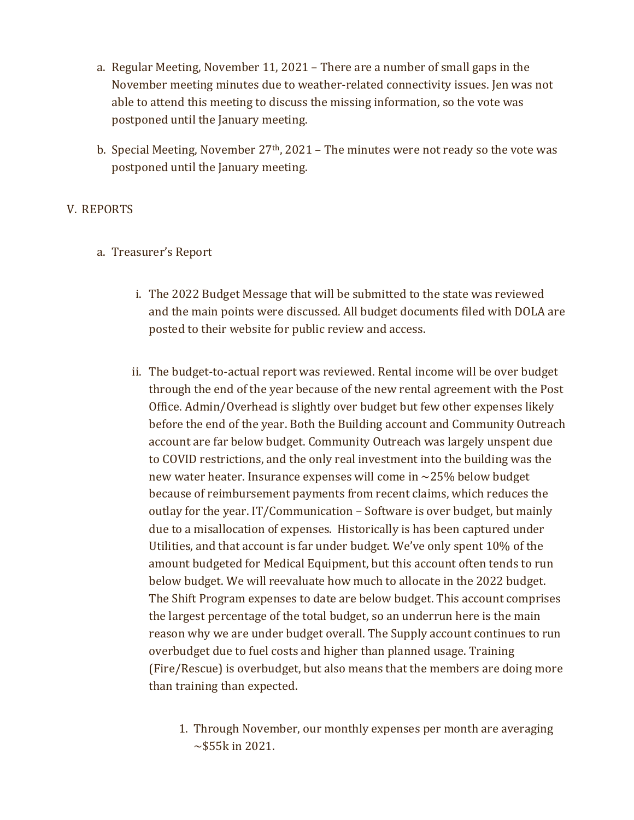- a. Regular Meeting, November 11, 2021 There are a number of small gaps in the November meeting minutes due to weather-related connectivity issues. Jen was not able to attend this meeting to discuss the missing information, so the vote was postponed until the January meeting.
- b. Special Meeting, November  $27<sup>th</sup>$ , 2021 The minutes were not ready so the vote was postponed until the January meeting.

# V. REPORTS

- a. Treasurer's Report
	- i. The 2022 Budget Message that will be submitted to the state was reviewed and the main points were discussed. All budget documents filed with DOLA are posted to their website for public review and access.
	- ii. The budget-to-actual report was reviewed. Rental income will be over budget through the end of the year because of the new rental agreement with the Post Office. Admin/Overhead is slightly over budget but few other expenses likely before the end of the year. Both the Building account and Community Outreach account are far below budget. Community Outreach was largely unspent due to COVID restrictions, and the only real investment into the building was the new water heater. Insurance expenses will come in ~25% below budget because of reimbursement payments from recent claims, which reduces the outlay for the year. IT/Communication – Software is over budget, but mainly due to a misallocation of expenses. Historically is has been captured under Utilities, and that account is far under budget. We've only spent 10% of the amount budgeted for Medical Equipment, but this account often tends to run below budget. We will reevaluate how much to allocate in the 2022 budget. The Shift Program expenses to date are below budget. This account comprises the largest percentage of the total budget, so an underrun here is the main reason why we are under budget overall. The Supply account continues to run overbudget due to fuel costs and higher than planned usage. Training (Fire/Rescue) is overbudget, but also means that the members are doing more than training than expected.
		- 1. Through November, our monthly expenses per month are averaging  $\sim$ \$55k in 2021.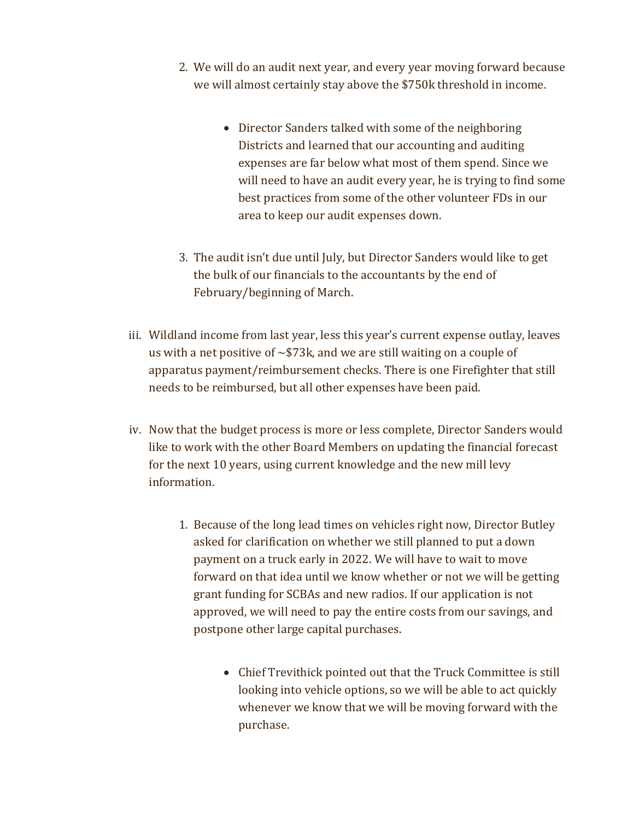- 2. We will do an audit next year, and every year moving forward because we will almost certainly stay above the \$750k threshold in income.
	- Director Sanders talked with some of the neighboring Districts and learned that our accounting and auditing expenses are far below what most of them spend. Since we will need to have an audit every year, he is trying to find some best practices from some of the other volunteer FDs in our area to keep our audit expenses down.
- 3. The audit isn't due until July, but Director Sanders would like to get the bulk of our financials to the accountants by the end of February/beginning of March.
- iii. Wildland income from last year, less this year's current expense outlay, leaves us with a net positive of  $\sim$ \$73k, and we are still waiting on a couple of apparatus payment/reimbursement checks. There is one Firefighter that still needs to be reimbursed, but all other expenses have been paid.
- iv. Now that the budget process is more or less complete, Director Sanders would like to work with the other Board Members on updating the financial forecast for the next 10 years, using current knowledge and the new mill levy information.
	- 1. Because of the long lead times on vehicles right now, Director Butley asked for clarification on whether we still planned to put a down payment on a truck early in 2022. We will have to wait to move forward on that idea until we know whether or not we will be getting grant funding for SCBAs and new radios. If our application is not approved, we will need to pay the entire costs from our savings, and postpone other large capital purchases.
		- Chief Trevithick pointed out that the Truck Committee is still looking into vehicle options, so we will be able to act quickly whenever we know that we will be moving forward with the purchase.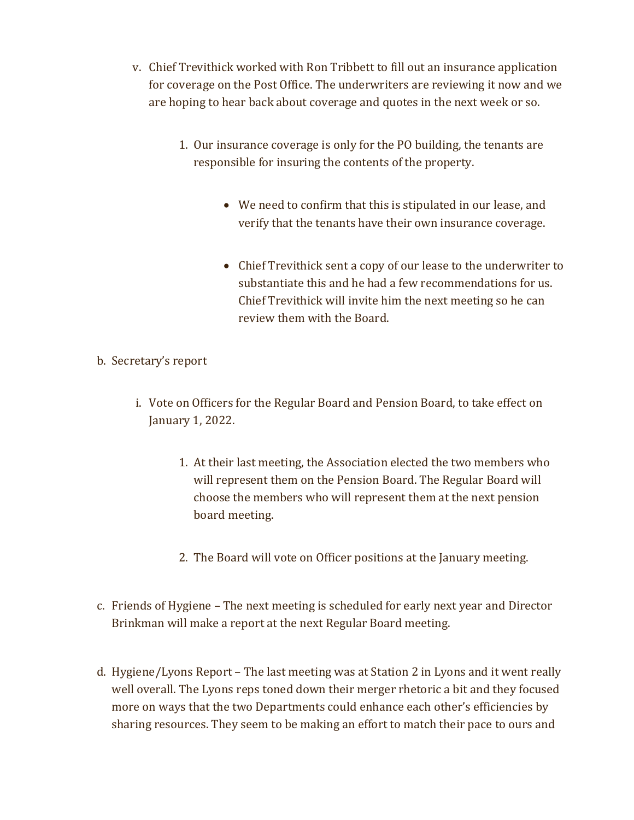- v. Chief Trevithick worked with Ron Tribbett to fill out an insurance application for coverage on the Post Office. The underwriters are reviewing it now and we are hoping to hear back about coverage and quotes in the next week or so.
	- 1. Our insurance coverage is only for the PO building, the tenants are responsible for insuring the contents of the property.
		- We need to confirm that this is stipulated in our lease, and verify that the tenants have their own insurance coverage.
		- Chief Trevithick sent a copy of our lease to the underwriter to substantiate this and he had a few recommendations for us. Chief Trevithick will invite him the next meeting so he can review them with the Board.

# b. Secretary's report

- i. Vote on Officers for the Regular Board and Pension Board, to take effect on January 1, 2022.
	- 1. At their last meeting, the Association elected the two members who will represent them on the Pension Board. The Regular Board will choose the members who will represent them at the next pension board meeting.
	- 2. The Board will vote on Officer positions at the January meeting.
- c. Friends of Hygiene The next meeting is scheduled for early next year and Director Brinkman will make a report at the next Regular Board meeting.
- d. Hygiene/Lyons Report The last meeting was at Station 2 in Lyons and it went really well overall. The Lyons reps toned down their merger rhetoric a bit and they focused more on ways that the two Departments could enhance each other's efficiencies by sharing resources. They seem to be making an effort to match their pace to ours and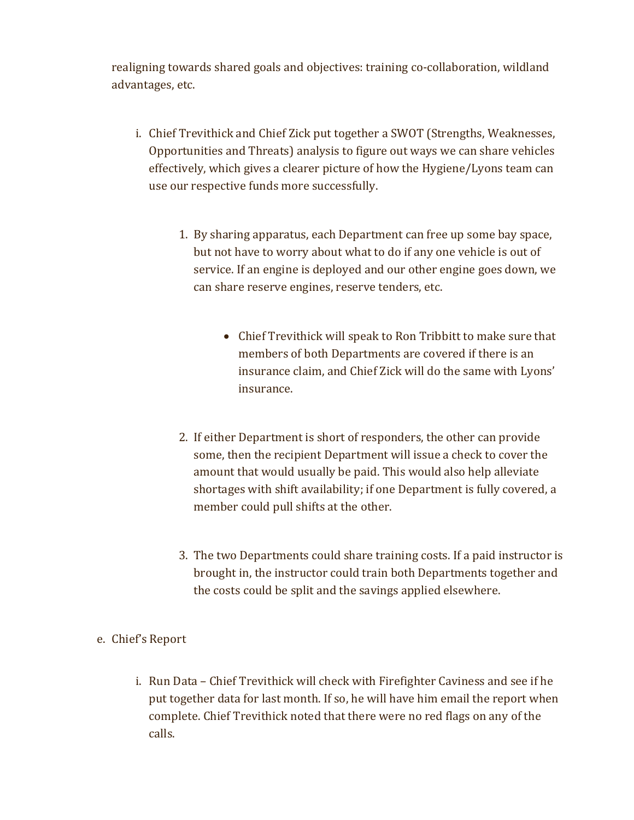realigning towards shared goals and objectives: training co-collaboration, wildland advantages, etc.

- i. Chief Trevithick and Chief Zick put together a SWOT (Strengths, Weaknesses, Opportunities and Threats) analysis to figure out ways we can share vehicles effectively, which gives a clearer picture of how the Hygiene/Lyons team can use our respective funds more successfully.
	- 1. By sharing apparatus, each Department can free up some bay space, but not have to worry about what to do if any one vehicle is out of service. If an engine is deployed and our other engine goes down, we can share reserve engines, reserve tenders, etc.
		- Chief Trevithick will speak to Ron Tribbitt to make sure that members of both Departments are covered if there is an insurance claim, and Chief Zick will do the same with Lyons' insurance.
	- 2. If either Department is short of responders, the other can provide some, then the recipient Department will issue a check to cover the amount that would usually be paid. This would also help alleviate shortages with shift availability; if one Department is fully covered, a member could pull shifts at the other.
	- 3. The two Departments could share training costs. If a paid instructor is brought in, the instructor could train both Departments together and the costs could be split and the savings applied elsewhere.

# e. Chief's Report

i. Run Data – Chief Trevithick will check with Firefighter Caviness and see if he put together data for last month. If so, he will have him email the report when complete. Chief Trevithick noted that there were no red flags on any of the calls.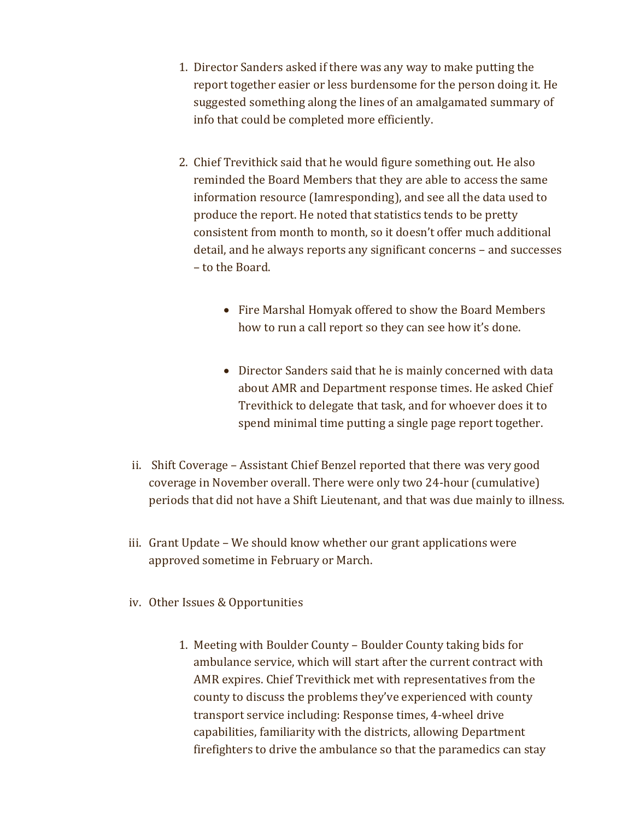- 1. Director Sanders asked if there was any way to make putting the report together easier or less burdensome for the person doing it. He suggested something along the lines of an amalgamated summary of info that could be completed more efficiently.
- 2. Chief Trevithick said that he would figure something out. He also reminded the Board Members that they are able to access the same information resource (Iamresponding), and see all the data used to produce the report. He noted that statistics tends to be pretty consistent from month to month, so it doesn't offer much additional detail, and he always reports any significant concerns – and successes – to the Board.
	- Fire Marshal Homyak offered to show the Board Members how to run a call report so they can see how it's done.
	- Director Sanders said that he is mainly concerned with data about AMR and Department response times. He asked Chief Trevithick to delegate that task, and for whoever does it to spend minimal time putting a single page report together.
- ii. Shift Coverage Assistant Chief Benzel reported that there was very good coverage in November overall. There were only two 24-hour (cumulative) periods that did not have a Shift Lieutenant, and that was due mainly to illness.
- iii. Grant Update We should know whether our grant applications were approved sometime in February or March.
- iv. Other Issues & Opportunities
	- 1. Meeting with Boulder County Boulder County taking bids for ambulance service, which will start after the current contract with AMR expires. Chief Trevithick met with representatives from the county to discuss the problems they've experienced with county transport service including: Response times, 4-wheel drive capabilities, familiarity with the districts, allowing Department firefighters to drive the ambulance so that the paramedics can stay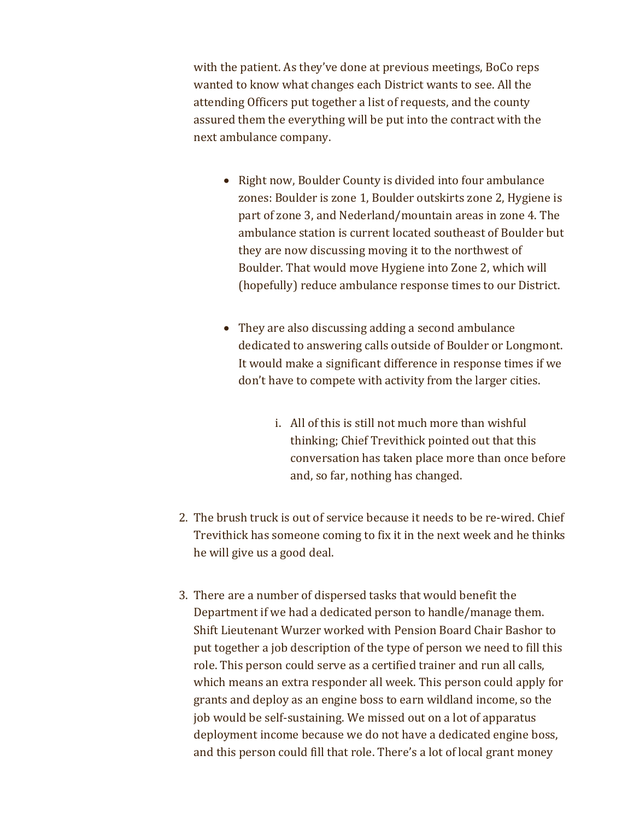with the patient. As they've done at previous meetings, BoCo reps wanted to know what changes each District wants to see. All the attending Officers put together a list of requests, and the county assured them the everything will be put into the contract with the next ambulance company.

- Right now, Boulder County is divided into four ambulance zones: Boulder is zone 1, Boulder outskirts zone 2, Hygiene is part of zone 3, and Nederland/mountain areas in zone 4. The ambulance station is current located southeast of Boulder but they are now discussing moving it to the northwest of Boulder. That would move Hygiene into Zone 2, which will (hopefully) reduce ambulance response times to our District.
- They are also discussing adding a second ambulance dedicated to answering calls outside of Boulder or Longmont. It would make a significant difference in response times if we don't have to compete with activity from the larger cities.
	- i. All of this is still not much more than wishful thinking; Chief Trevithick pointed out that this conversation has taken place more than once before and, so far, nothing has changed.
- 2. The brush truck is out of service because it needs to be re-wired. Chief Trevithick has someone coming to fix it in the next week and he thinks he will give us a good deal.
- 3. There are a number of dispersed tasks that would benefit the Department if we had a dedicated person to handle/manage them. Shift Lieutenant Wurzer worked with Pension Board Chair Bashor to put together a job description of the type of person we need to fill this role. This person could serve as a certified trainer and run all calls, which means an extra responder all week. This person could apply for grants and deploy as an engine boss to earn wildland income, so the job would be self-sustaining. We missed out on a lot of apparatus deployment income because we do not have a dedicated engine boss, and this person could fill that role. There's a lot of local grant money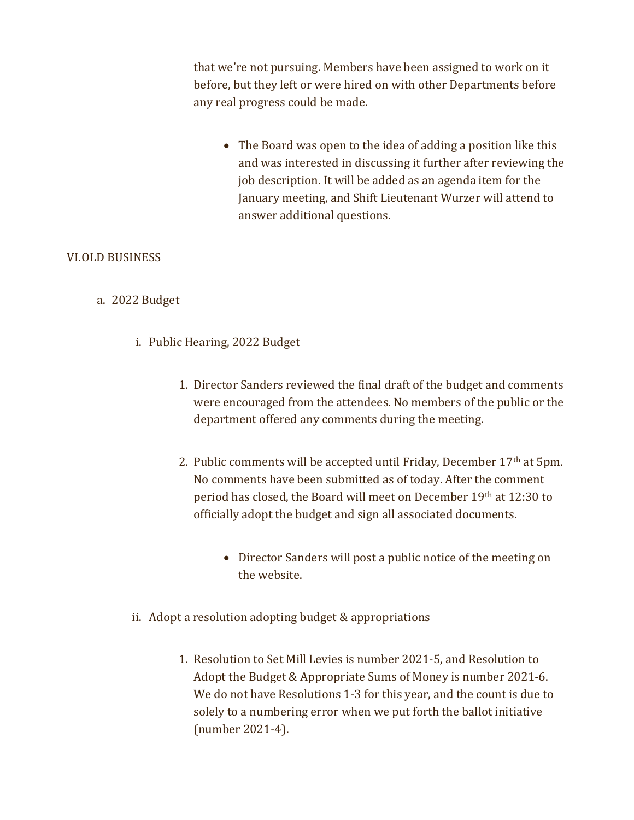that we're not pursuing. Members have been assigned to work on it before, but they left or were hired on with other Departments before any real progress could be made.

• The Board was open to the idea of adding a position like this and was interested in discussing it further after reviewing the job description. It will be added as an agenda item for the January meeting, and Shift Lieutenant Wurzer will attend to answer additional questions.

# VI.OLD BUSINESS

# a. 2022 Budget

- i. Public Hearing, 2022 Budget
	- 1. Director Sanders reviewed the final draft of the budget and comments were encouraged from the attendees. No members of the public or the department offered any comments during the meeting.
	- 2. Public comments will be accepted until Friday, December 17th at 5pm. No comments have been submitted as of today. After the comment period has closed, the Board will meet on December 19th at 12:30 to officially adopt the budget and sign all associated documents.
		- Director Sanders will post a public notice of the meeting on the website.
- ii. Adopt a resolution adopting budget & appropriations
	- 1. Resolution to Set Mill Levies is number 2021-5, and Resolution to Adopt the Budget & Appropriate Sums of Money is number 2021-6. We do not have Resolutions 1-3 for this year, and the count is due to solely to a numbering error when we put forth the ballot initiative (number 2021-4).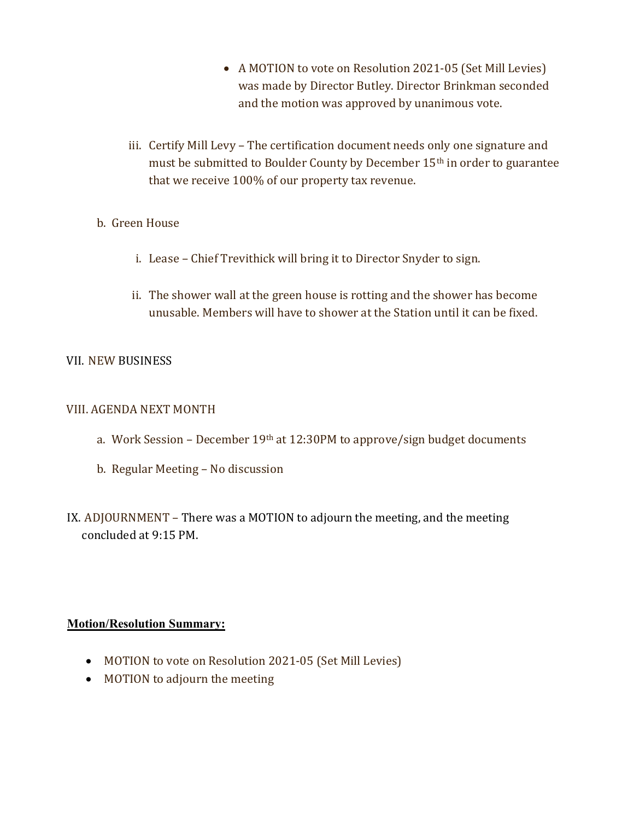- A MOTION to vote on Resolution 2021-05 (Set Mill Levies) was made by Director Butley. Director Brinkman seconded and the motion was approved by unanimous vote.
- iii. Certify Mill Levy The certification document needs only one signature and must be submitted to Boulder County by December 15th in order to guarantee that we receive 100% of our property tax revenue.
- b. Green House
	- i. Lease Chief Trevithick will bring it to Director Snyder to sign.
	- ii. The shower wall at the green house is rotting and the shower has become unusable. Members will have to shower at the Station until it can be fixed.

# VII. NEW BUSINESS

#### VIII. AGENDA NEXT MONTH

- a. Work Session December 19<sup>th</sup> at 12:30PM to approve/sign budget documents
- b. Regular Meeting No discussion
- IX. ADJOURNMENT There was a MOTION to adjourn the meeting, and the meeting concluded at 9:15 PM.

# Motion/Resolution Summary:

- MOTION to vote on Resolution 2021-05 (Set Mill Levies)
- MOTION to adjourn the meeting